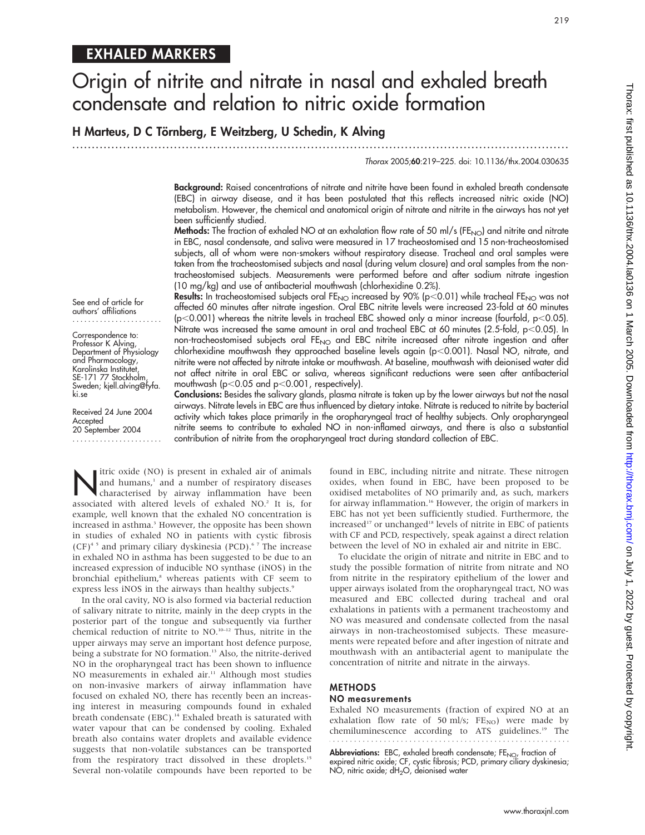# EXHALED MARKERS

# Origin of nitrite and nitrate in nasal and exhaled breath condensate and relation to nitric oxide formation

# H Marteus, D C Törnberg, E Weitzberg, U Schedin, K Alving

...............................................................................................................................

Thorax 2005;60:219–225. doi: 10.1136/thx.2004.030635

Background: Raised concentrations of nitrate and nitrite have been found in exhaled breath condensate (EBC) in airway disease, and it has been postulated that this reflects increased nitric oxide (NO) metabolism. However, the chemical and anatomical origin of nitrate and nitrite in the airways has not yet been sufficiently studied.

**Methods:** The fraction of exhaled NO at an exhalation flow rate of 50 ml/s (FE<sub>NO</sub>) and nitrite and nitrate in EBC, nasal condensate, and saliva were measured in 17 tracheostomised and 15 non-tracheostomised subjects, all of whom were non-smokers without respiratory disease. Tracheal and oral samples were taken from the tracheostomised subjects and nasal (during velum closure) and oral samples from the nontracheostomised subjects. Measurements were performed before and after sodium nitrate ingestion (10 mg/kg) and use of antibacterial mouthwash (chlorhexidine 0.2%).

Results: In tracheostomised subjects oral FE<sub>NO</sub> increased by 90% (p<0.01) while tracheal FE<sub>NO</sub> was not affected 60 minutes after nitrate ingestion. Oral EBC nitrite levels were increased 23-fold at 60 minutes (p<0.001) whereas the nitrite levels in tracheal EBC showed only a minor increase (fourfold, p<0.05). Nitrate was increased the same amount in oral and tracheal EBC at 60 minutes (2.5-fold,  $p<$  0.05). In non-tracheostomised subjects oral FE<sub>NO</sub> and EBC nitrite increased after nitrate ingestion and after chlorhexidine mouthwash they approached baseline levels again (p<0.001). Nasal NO, nitrate, and nitrite were not affected by nitrate intake or mouthwash. At baseline, mouthwash with deionised water did not affect nitrite in oral EBC or saliva, whereas significant reductions were seen after antibacterial mouthwash ( $p<0.05$  and  $p<0.001$ , respectively).

See end of article for authors' affiliations .......................

Correspondence to: Professor K Alving, Department of Physiology and Pharmacology, Karolinska Institutet, SE-171 77 Stockholm, Sweden; kjell.alving@fyfa. ki.se

Received 24 June 2004 Accepted 20 September 2004 ....................... Conclusions: Besides the salivary glands, plasma nitrate is taken up by the lower airways but not the nasal airways. Nitrate levels in EBC are thus influenced by dietary intake. Nitrate is reduced to nitrite by bacterial activity which takes place primarily in the oropharyngeal tract of healthy subjects. Only oropharyngeal nitrite seems to contribute to exhaled NO in non-inflamed airways, and there is also a substantial contribution of nitrite from the oropharyngeal tract during standard collection of EBC.

Itric oxide (NO) is present in exhaled air of animals<br>and humans,<sup>1</sup> and a number of respiratory diseases<br>characterised by airway inflammation have been and humans,<sup>1</sup> and a number of respiratory diseases associated with altered levels of exhaled NO.<sup>2</sup> It is, for example, well known that the exhaled NO concentration is increased in asthma.<sup>3</sup> However, the opposite has been shown in studies of exhaled NO in patients with cystic fibrosis  $(CF)^{4.5}$  and primary ciliary dyskinesia (PCD).<sup>6.7</sup> The increase in exhaled NO in asthma has been suggested to be due to an increased expression of inducible NO synthase (iNOS) in the bronchial epithelium,<sup>8</sup> whereas patients with CF seem to express less iNOS in the airways than healthy subjects.<sup>9</sup>

In the oral cavity, NO is also formed via bacterial reduction of salivary nitrate to nitrite, mainly in the deep crypts in the posterior part of the tongue and subsequently via further chemical reduction of nitrite to NO.10–12 Thus, nitrite in the upper airways may serve an important host defence purpose, being a substrate for NO formation.<sup>13</sup> Also, the nitrite-derived NO in the oropharyngeal tract has been shown to influence NO measurements in exhaled air.<sup>11</sup> Although most studies on non-invasive markers of airway inflammation have focused on exhaled NO, there has recently been an increasing interest in measuring compounds found in exhaled breath condensate (EBC).<sup>14</sup> Exhaled breath is saturated with water vapour that can be condensed by cooling. Exhaled breath also contains water droplets and available evidence suggests that non-volatile substances can be transported from the respiratory tract dissolved in these droplets.<sup>15</sup> Several non-volatile compounds have been reported to be

found in EBC, including nitrite and nitrate. These nitrogen oxides, when found in EBC, have been proposed to be oxidised metabolites of NO primarily and, as such, markers for airway inflammation.<sup>16</sup> However, the origin of markers in EBC has not yet been sufficiently studied. Furthermore, the increased<sup>17</sup> or unchanged<sup>18</sup> levels of nitrite in EBC of patients with CF and PCD, respectively, speak against a direct relation between the level of NO in exhaled air and nitrite in EBC.

To elucidate the origin of nitrate and nitrite in EBC and to study the possible formation of nitrite from nitrate and NO from nitrite in the respiratory epithelium of the lower and upper airways isolated from the oropharyngeal tract, NO was measured and EBC collected during tracheal and oral exhalations in patients with a permanent tracheostomy and NO was measured and condensate collected from the nasal airways in non-tracheostomised subjects. These measurements were repeated before and after ingestion of nitrate and mouthwash with an antibacterial agent to manipulate the concentration of nitrite and nitrate in the airways.

# **METHODS**

# NO measurements

Exhaled NO measurements (fraction of expired NO at an exhalation flow rate of 50 ml/s;  $FE_{NO}$ ) were made by chemiluminescence according to ATS guidelines.<sup>19</sup> The

Abbreviations: EBC, exhaled breath condensate; FE<sub>NO</sub>, fraction of expired nitric oxide; CF, cystic fibrosis; PCD, primary ciliary dyskinesia; NO, nitric oxide; dH<sub>2</sub>O, deionised water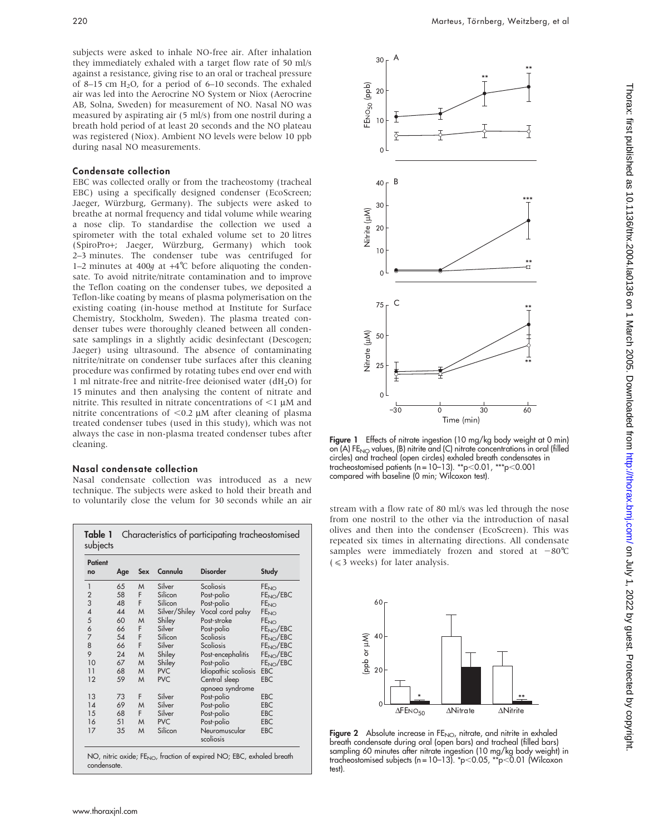subjects were asked to inhale NO-free air. After inhalation they immediately exhaled with a target flow rate of 50 ml/s against a resistance, giving rise to an oral or tracheal pressure of 8–15 cm  $H_2O$ , for a period of 6–10 seconds. The exhaled air was led into the Aerocrine NO System or Niox (Aerocrine AB, Solna, Sweden) for measurement of NO. Nasal NO was measured by aspirating air (5 ml/s) from one nostril during a breath hold period of at least 20 seconds and the NO plateau was registered (Niox). Ambient NO levels were below 10 ppb during nasal NO measurements.

#### Condensate collection

EBC was collected orally or from the tracheostomy (tracheal EBC) using a specifically designed condenser (EcoScreen; Jaeger, Würzburg, Germany). The subjects were asked to breathe at normal frequency and tidal volume while wearing a nose clip. To standardise the collection we used a spirometer with the total exhaled volume set to 20 litres (SpiroPro+; Jaeger, Wu¨rzburg, Germany) which took 2–3 minutes. The condenser tube was centrifuged for 1–2 minutes at 400g at  $+4^{\circ}$ C before aliquoting the condensate. To avoid nitrite/nitrate contamination and to improve the Teflon coating on the condenser tubes, we deposited a Teflon-like coating by means of plasma polymerisation on the existing coating (in-house method at Institute for Surface Chemistry, Stockholm, Sweden). The plasma treated condenser tubes were thoroughly cleaned between all condensate samplings in a slightly acidic desinfectant (Descogen; Jaeger) using ultrasound. The absence of contaminating nitrite/nitrate on condenser tube surfaces after this cleaning procedure was confirmed by rotating tubes end over end with 1 ml nitrate-free and nitrite-free deionised water  $(dH<sub>2</sub>O)$  for 15 minutes and then analysing the content of nitrate and nitrite. This resulted in nitrate concentrations of  $\leq$ 1  $\mu$ M and nitrite concentrations of  $<$ 0.2  $\mu$ M after cleaning of plasma treated condenser tubes (used in this study), which was not always the case in non-plasma treated condenser tubes after cleaning.

#### Nasal condensate collection

Nasal condensate collection was introduced as a new technique. The subjects were asked to hold their breath and to voluntarily close the velum for 30 seconds while an air<br>stream with a flow rate of 80 ml/s was led through the nose

| Patient<br>no                              | Age | Sex | Cannula       | <b>Disorder</b>                  | Study                  |
|--------------------------------------------|-----|-----|---------------|----------------------------------|------------------------|
| 1                                          | 65  | M   | Silver        | Scoliosis                        | <b>FE<sub>NO</sub></b> |
|                                            | 58  | F.  | Silicon       | Post-polio                       | FE <sub>NO</sub> /EBC  |
| $\begin{array}{c} 2 \\ 3 \\ 4 \end{array}$ | 48  | F   | Silicon       | Post-polio                       | FE <sub>NO</sub>       |
|                                            | 44  | M   | Silver/Shiley | Vocal cord palsy                 | FE <sub>NO</sub>       |
| 5                                          | 60  | M   | Shiley        | Post-stroke                      | <b>FE<sub>NO</sub></b> |
| 6                                          | 66  | F   | Silver        | Post-polio                       | FE <sub>NO</sub> /EBC  |
| $\overline{7}$                             | 54  | F   | Silicon       | Scoliosis                        | FE <sub>NO</sub> /EBC  |
| 8                                          | 66  | F   | Silver        | Scoliosis                        | FE <sub>NO</sub> /EBC  |
| 9                                          | 24  | M   | Shiley        | Post-encephalitis                | FE <sub>NO</sub> /EBC  |
| 10                                         | 67  | M   | Shiley        | Post-polio                       | FE <sub>NO</sub> /EBC  |
| 11                                         | 68  | M   | <b>PVC</b>    | Idiopathic scoliosis             | <b>EBC</b>             |
| 12                                         | 59  | M   | <b>PVC</b>    | Central sleep<br>apnoea syndrome | <b>EBC</b>             |
| 13                                         | 73  | F   | Silver        | Post-polio                       | <b>EBC</b>             |
| 14                                         | 69  | M   | Silver        | Post-polio                       | <b>EBC</b>             |
| 15                                         | 68  | F.  | Silver        | Post-polio                       | <b>EBC</b>             |
| 16                                         | 51  | M   | <b>PVC</b>    | Post-polio                       | <b>EBC</b>             |
| 17                                         | 35  | M   | Silicon       | Neuromuscular<br>scoliosis       | <b>EBC</b>             |



Figure 1 Effects of nitrate ingestion (10 mg/kg body weight at 0 min) on  $(A)$  FE<sub>NO</sub> values,  $(B)$  nitrite and  $(C)$  nitrate concentrations in oral (filled circles) and tracheal (open circles) exhaled breath condensates in<br>tracheostomised patients (n=10-13). \*\*p<0.01, \*\*\*p<0.001 tracheostomised patients (n =  $10-13$ ). \*\*p $<$ 0.01, \*\* compared with baseline (0 min; Wilcoxon test).

from one nostril to the other via the introduction of nasal olives and then into the condenser (EcoScreen). This was repeated six times in alternating directions. All condensate samples were immediately frozen and stored at  $-80^{\circ}$ C  $( $\leq$  weeks) for later analysis.$ 



Figure 2 Absolute increase in FE<sub>NO</sub>, nitrate, and nitrite in exhaled breath condensate during oral (open bars) and tracheal (filled bars) sampling 60 minutes after nitrate ingestion (10 mg/kg body weight) in tracheostomised subjects (n=10–13). \*p<0.05, \*\*p<0.01 (Wilcoxon test).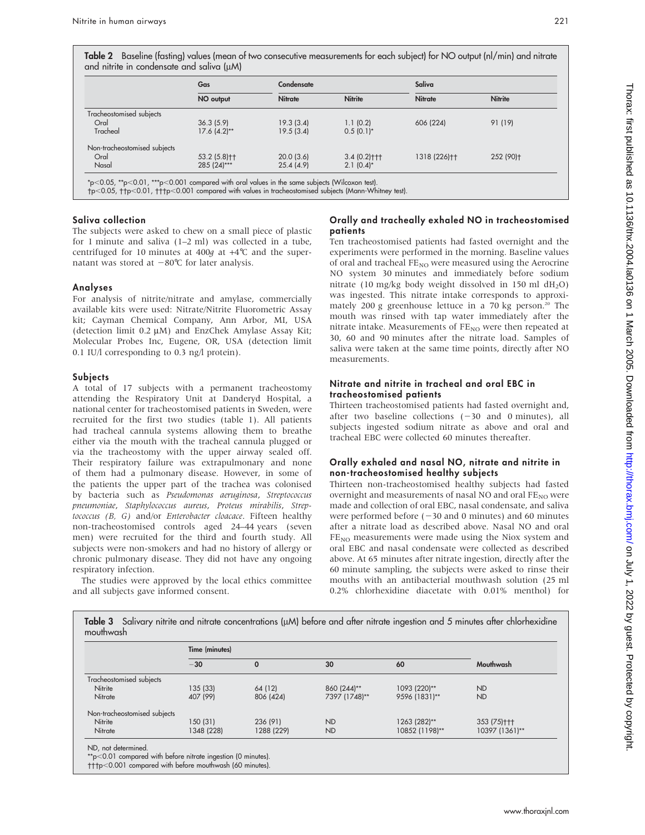Table 2 Baseline (fasting) values (mean of two consecutive measurements for each subject) for NO output (nl/min) and nitrate and nitrite in condensate and saliva (uM)

|                              | Gas                      | Condensate     | Saliva           |                |                |  |
|------------------------------|--------------------------|----------------|------------------|----------------|----------------|--|
|                              | NO output                | <b>Nitrate</b> | <b>Nitrite</b>   | <b>Nitrate</b> | <b>Nitrite</b> |  |
| Tracheostomised subjects     |                          |                |                  |                |                |  |
| Oral                         | 36.3(5.9)                | 19.3(3.4)      | 1.1(0.2)         | 606 (224)      | 91 (19)        |  |
| Tracheal                     | $17.6(4.2)$ **           | 19.5(3.4)      | $0.5(0.1)^{*}$   |                |                |  |
| Non-tracheostomised subjects |                          |                |                  |                |                |  |
| Oral                         | 53.2 (5.8) <sup>++</sup> | 20.0(3.6)      | $3.4(0.2)$ + + + | 1318 (226)++   | 252 (90)+      |  |
| Nasal                        | 285 (24)***              | 25.4(4.9)      | $2.1(0.4)^{*}$   |                |                |  |

p,0.05, p,0.01, p,0.001 compared with values in tracheostomised subjects (Mann-Whitney test).

#### Saliva collection

The subjects were asked to chew on a small piece of plastic for 1 minute and saliva (1–2 ml) was collected in a tube, centrifuged for 10 minutes at 400g at  $+4^{\circ}$ C and the supernatant was stored at  $-80^{\circ}$ C for later analysis.

#### Analyses

For analysis of nitrite/nitrate and amylase, commercially available kits were used: Nitrate/Nitrite Fluorometric Assay kit; Cayman Chemical Company, Ann Arbor, MI, USA (detection limit  $0.2 \mu M$ ) and EnzChek Amylase Assay Kit; Molecular Probes Inc, Eugene, OR, USA (detection limit 0.1 IU/l corresponding to 0.3 ng/l protein).

#### Subjects

A total of 17 subjects with a permanent tracheostomy attending the Respiratory Unit at Danderyd Hospital, a national center for tracheostomised patients in Sweden, were recruited for the first two studies (table 1). All patients had tracheal cannula systems allowing them to breathe either via the mouth with the tracheal cannula plugged or via the tracheostomy with the upper airway sealed off. Their respiratory failure was extrapulmonary and none of them had a pulmonary disease. However, in some of the patients the upper part of the trachea was colonised by bacteria such as Pseudomonas aeruginosa, Streptococcus pneumoniae, Staphylococcus aureus, Proteus mirabilis, Streptococcus (B, G) and/or Enterobacter cloacace. Fifteen healthy non-tracheostomised controls aged 24–44 years (seven men) were recruited for the third and fourth study. All subjects were non-smokers and had no history of allergy or chronic pulmonary disease. They did not have any ongoing respiratory infection.

The studies were approved by the local ethics committee and all subjects gave informed consent.

# Orally and tracheally exhaled NO in tracheostomised patients

Ten tracheostomised patients had fasted overnight and the experiments were performed in the morning. Baseline values of oral and tracheal  $FE_{NO}$  were measured using the Aerocrine NO system 30 minutes and immediately before sodium nitrate (10 mg/kg body weight dissolved in 150 ml  $dH_2O$ ) was ingested. This nitrate intake corresponds to approximately 200 g greenhouse lettuce in a 70 kg person.<sup>20</sup> The mouth was rinsed with tap water immediately after the nitrate intake. Measurements of  $FE_{NO}$  were then repeated at 30, 60 and 90 minutes after the nitrate load. Samples of saliva were taken at the same time points, directly after NO measurements.

#### Nitrate and nitrite in tracheal and oral EBC in tracheostomised patients

Thirteen tracheostomised patients had fasted overnight and, after two baseline collections  $(-30 \text{ and } 0 \text{ minutes})$ , all subjects ingested sodium nitrate as above and oral and tracheal EBC were collected 60 minutes thereafter.

# Orally exhaled and nasal NO, nitrate and nitrite in non-tracheostomised healthy subjects

Thirteen non-tracheostomised healthy subjects had fasted overnight and measurements of nasal NO and oral  $FE_{NO}$  were made and collection of oral EBC, nasal condensate, and saliva were performed before  $(-30$  and 0 minutes) and 60 minutes after a nitrate load as described above. Nasal NO and oral  $FE<sub>NO</sub>$  measurements were made using the Niox system and oral EBC and nasal condensate were collected as described above. At 65 minutes after nitrate ingestion, directly after the 60 minute sampling, the subjects were asked to rinse their mouths with an antibacterial mouthwash solution (25 ml 0.2% chlorhexidine diacetate with 0.01% menthol) for

|                              | Time (minutes) |             |               |                |                |  |  |
|------------------------------|----------------|-------------|---------------|----------------|----------------|--|--|
|                              | $-30$          | $\mathbf 0$ | 30            | 60             | Mouthwash      |  |  |
| Tracheostomised subjects     |                |             |               |                |                |  |  |
| Nitrite                      | 135 (33)       | 64 (12)     | 860 (244)**   | 1093 (220)**   | <b>ND</b>      |  |  |
| Nitrate                      | 407 (99)       | 806 (424)   | 7397 (1748)** | 9596 (1831)**  | <b>ND</b>      |  |  |
| Non-tracheostomised subjects |                |             |               |                |                |  |  |
| Nitrite                      | 150 (31)       | 236 (91)    | <b>ND</b>     | 1263 (282)**   | 353 (75)+++    |  |  |
| Nitrate                      | 1348 (228)     | 1288 (229)  | <b>ND</b>     | 10852 (1198)** | 10397 (1361)** |  |  |

Table 3 Salivary nitrite and nitrate concentrations (mM) before and after nitrate ingestion and 5 minutes after chlorhexidine

p,0.001 compared with before mouthwash (60 minutes).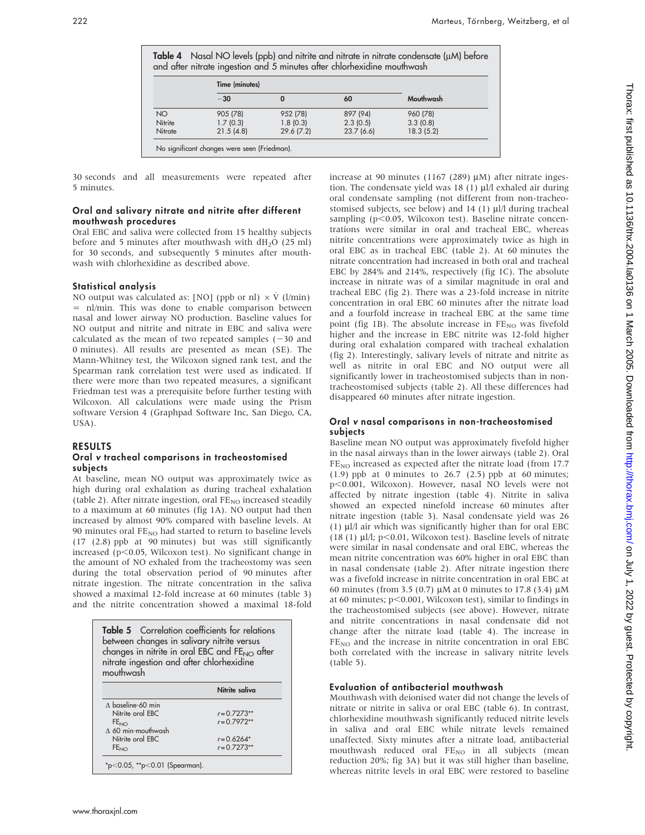|                 | Time (minutes) |           |           |           |
|-----------------|----------------|-----------|-----------|-----------|
|                 | $-30$          |           | 60        | Mouthwash |
| NO <sub>1</sub> | 905 (78)       | 952 (78)  | 897 (94)  | 960 (78)  |
| Nitrite         | 1.7(0.3)       | 1.8(0.3)  | 2.3(0.5)  | 3.3(0.8)  |
| Nitrate         | 21.5(4.8)      | 29.6(7.2) | 23.7(6.6) | 18.3(5.2) |

30 seconds and all measurements were repeated after 5 minutes.

#### Oral and salivary nitrate and nitrite after different mouthwash procedures

Oral EBC and saliva were collected from 15 healthy subjects before and 5 minutes after mouthwash with  $dH<sub>2</sub>O$  (25 ml) for 30 seconds, and subsequently 5 minutes after mouthwash with chlorhexidine as described above.

#### Statistical analysis

NO output was calculated as: [NO] (ppb or nl)  $\times$  V<sup></sup> (l/min) = nl/min. This was done to enable comparison between nasal and lower airway NO production. Baseline values for NO output and nitrite and nitrate in EBC and saliva were calculated as the mean of two repeated samples  $(-30 \text{ and } 20)$ 0 minutes). All results are presented as mean (SE). The Mann-Whitney test, the Wilcoxon signed rank test, and the Spearman rank correlation test were used as indicated. If there were more than two repeated measures, a significant Friedman test was a prerequisite before further testing with Wilcoxon. All calculations were made using the Prism software Version 4 (Graphpad Software Inc, San Diego, CA, USA).

#### RESULTS

#### Oral v tracheal comparisons in tracheostomised subjects

At baseline, mean NO output was approximately twice as high during oral exhalation as during tracheal exhalation (table 2). After nitrate ingestion, oral  $FE_{NO}$  increased steadily to a maximum at 60 minutes (fig 1A). NO output had then increased by almost 90% compared with baseline levels. At 90 minutes oral  $FE_{NO}$  had started to return to baseline levels (17 (2.8) ppb at 90 minutes) but was still significantly increased ( $p$ <0.05, Wilcoxon test). No significant change in the amount of NO exhaled from the tracheostomy was seen during the total observation period of 90 minutes after nitrate ingestion. The nitrate concentration in the saliva showed a maximal 12-fold increase at 60 minutes (table 3) and the nitrite concentration showed a maximal 18-fold

| between changes in salivary nitrite versus<br>changes in nitrite in oral EBC and FE <sub>NO</sub> after<br>nitrate ingestion and after chlorhexidine<br>mouthwash | <b>Table 5</b> Correlation coefficients for relations |  |  |
|-------------------------------------------------------------------------------------------------------------------------------------------------------------------|-------------------------------------------------------|--|--|
|                                                                                                                                                                   | Nitrite saliva                                        |  |  |
| $\Lambda$ baseline-60 min                                                                                                                                         |                                                       |  |  |
| Nitrite oral EBC                                                                                                                                                  | $r = 0.7273**$                                        |  |  |
| FE <sub>NO</sub>                                                                                                                                                  | $r = 0.7972**$                                        |  |  |
| $\wedge$ 60 min-mouthwash                                                                                                                                         |                                                       |  |  |
|                                                                                                                                                                   |                                                       |  |  |
| Nitrite oral EBC                                                                                                                                                  | $r = 0.6264*$                                         |  |  |

increase at 90 minutes (1167 (289)  $\mu$ M) after nitrate ingestion. The condensate yield was  $18$  (1)  $\mu$ l/l exhaled air during oral condensate sampling (not different from non-tracheostomised subjects, see below) and  $14$  (1)  $\mu$ l/l during tracheal sampling ( $p<0.05$ , Wilcoxon test). Baseline nitrate concentrations were similar in oral and tracheal EBC, whereas nitrite concentrations were approximately twice as high in oral EBC as in tracheal EBC (table 2). At 60 minutes the nitrate concentration had increased in both oral and tracheal EBC by 284% and 214%, respectively (fig 1C). The absolute increase in nitrate was of a similar magnitude in oral and tracheal EBC (fig 2). There was a 23-fold increase in nitrite concentration in oral EBC 60 minutes after the nitrate load and a fourfold increase in tracheal EBC at the same time point (fig 1B). The absolute increase in  $FE_{NO}$  was fivefold higher and the increase in EBC nitrite was 12-fold higher during oral exhalation compared with tracheal exhalation (fig 2). Interestingly, salivary levels of nitrate and nitrite as well as nitrite in oral EBC and NO output were all significantly lower in tracheostomised subjects than in nontracheostomised subjects (table 2). All these differences had disappeared 60 minutes after nitrate ingestion.

#### Oral v nasal comparisons in non-tracheostomised subjects

Baseline mean NO output was approximately fivefold higher in the nasal airways than in the lower airways (table 2). Oral FE<sub>NO</sub> increased as expected after the nitrate load (from 17.7 (1.9) ppb at 0 minutes to  $26.7$  (2.5) ppb at 60 minutes; p<0.001, Wilcoxon). However, nasal NO levels were not affected by nitrate ingestion (table 4). Nitrite in saliva showed an expected ninefold increase 60 minutes after nitrate ingestion (table 3). Nasal condensate yield was 26 (1)  $\mu$ l/l air which was significantly higher than for oral EBC (18 (1)  $\mu$ l/l; p<0.01, Wilcoxon test). Baseline levels of nitrate were similar in nasal condensate and oral EBC, whereas the mean nitrite concentration was 60% higher in oral EBC than in nasal condensate (table 2). After nitrate ingestion there was a fivefold increase in nitrite concentration in oral EBC at 60 minutes (from 3.5 (0.7)  $\mu$ M at 0 minutes to 17.8 (3.4)  $\mu$ M at 60 minutes;  $p<0.001$ , Wilcoxon test), similar to findings in the tracheostomised subjects (see above). However, nitrate and nitrite concentrations in nasal condensate did not change after the nitrate load (table 4). The increase in  $FE<sub>NO</sub>$  and the increase in nitrite concentration in oral EBC both correlated with the increase in salivary nitrite levels (table 5).

#### Evaluation of antibacterial mouthwash

Mouthwash with deionised water did not change the levels of nitrate or nitrite in saliva or oral EBC (table 6). In contrast, chlorhexidine mouthwash significantly reduced nitrite levels in saliva and oral EBC while nitrate levels remained unaffected. Sixty minutes after a nitrate load, antibacterial mouthwash reduced oral  $FE_{NO}$  in all subjects (mean reduction 20%; fig 3A) but it was still higher than baseline, whereas nitrite levels in oral EBC were restored to baseline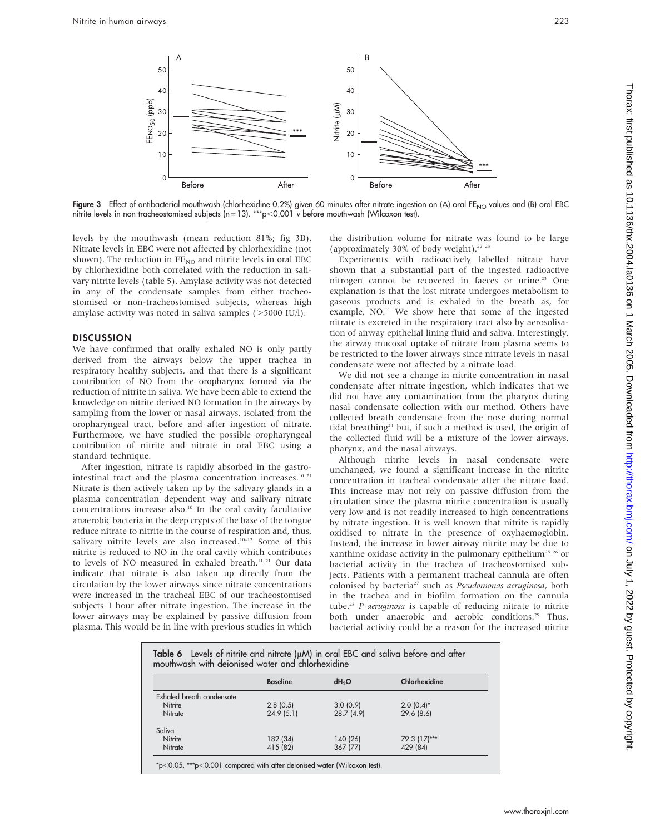

Figure 3 Effect of antibacterial mouthwash (chlorhexidine 0.2%) given 60 minutes after nitrate ingestion on (A) oral FE<sub>NO</sub> values and (B) oral EBC nitrite levels in non-tracheostomised subjects (n = 13). \*\*\*p<0.001  $\check{\mathsf{v}}$  before mouthwash (Wilcoxon test).

levels by the mouthwash (mean reduction 81%; fig 3B). Nitrate levels in EBC were not affected by chlorhexidine (not shown). The reduction in  $FE_{NO}$  and nitrite levels in oral EBC by chlorhexidine both correlated with the reduction in salivary nitrite levels (table 5). Amylase activity was not detected in any of the condensate samples from either tracheostomised or non-tracheostomised subjects, whereas high amylase activity was noted in saliva samples  $($  > 5000 IU/l).

# **DISCUSSION**

We have confirmed that orally exhaled NO is only partly derived from the airways below the upper trachea in respiratory healthy subjects, and that there is a significant contribution of NO from the oropharynx formed via the reduction of nitrite in saliva. We have been able to extend the knowledge on nitrite derived NO formation in the airways by sampling from the lower or nasal airways, isolated from the oropharyngeal tract, before and after ingestion of nitrate. Furthermore, we have studied the possible oropharyngeal contribution of nitrite and nitrate in oral EBC using a standard technique.

After ingestion, nitrate is rapidly absorbed in the gastrointestinal tract and the plasma concentration increases.<sup>10 21</sup> Nitrate is then actively taken up by the salivary glands in a plasma concentration dependent way and salivary nitrate concentrations increase also.<sup>10</sup> In the oral cavity facultative anaerobic bacteria in the deep crypts of the base of the tongue reduce nitrate to nitrite in the course of respiration and, thus, salivary nitrite levels are also increased.<sup>10-12</sup> Some of this nitrite is reduced to NO in the oral cavity which contributes to levels of NO measured in exhaled breath.<sup>11 21</sup> Our data indicate that nitrate is also taken up directly from the circulation by the lower airways since nitrate concentrations were increased in the tracheal EBC of our tracheostomised subjects 1 hour after nitrate ingestion. The increase in the lower airways may be explained by passive diffusion from plasma. This would be in line with previous studies in which

the distribution volume for nitrate was found to be large (approximately 30% of body weight).22 23

Experiments with radioactively labelled nitrate have shown that a substantial part of the ingested radioactive nitrogen cannot be recovered in faeces or urine.<sup>23</sup> One explanation is that the lost nitrate undergoes metabolism to gaseous products and is exhaled in the breath as, for example, NO.<sup>11</sup> We show here that some of the ingested nitrate is excreted in the respiratory tract also by aerosolisation of airway epithelial lining fluid and saliva. Interestingly, the airway mucosal uptake of nitrate from plasma seems to be restricted to the lower airways since nitrate levels in nasal condensate were not affected by a nitrate load.

We did not see a change in nitrite concentration in nasal condensate after nitrate ingestion, which indicates that we did not have any contamination from the pharynx during nasal condensate collection with our method. Others have collected breath condensate from the nose during normal tidal breathing<sup>24</sup> but, if such a method is used, the origin of the collected fluid will be a mixture of the lower airways, pharynx, and the nasal airways.

Although nitrite levels in nasal condensate were unchanged, we found a significant increase in the nitrite concentration in tracheal condensate after the nitrate load. This increase may not rely on passive diffusion from the circulation since the plasma nitrite concentration is usually very low and is not readily increased to high concentrations by nitrate ingestion. It is well known that nitrite is rapidly oxidised to nitrate in the presence of oxyhaemoglobin. Instead, the increase in lower airway nitrite may be due to xanthine oxidase activity in the pulmonary epithelium<sup>25 26</sup> or bacterial activity in the trachea of tracheostomised subjects. Patients with a permanent tracheal cannula are often colonised by bacteria<sup>27</sup> such as Pseudomonas aeruginosa, both in the trachea and in biofilm formation on the cannula tube.<sup>28</sup> P aeruginosa is capable of reducing nitrate to nitrite both under anaerobic and aerobic conditions.<sup>29</sup> Thus, bacterial activity could be a reason for the increased nitrite

| Table 6 Levels of nitrite and nitrate ( $\mu$ M) in oral EBC and saliva before and after<br>mouthwash with deionised water and chlorhexidine |                 |                   |               |  |  |  |
|----------------------------------------------------------------------------------------------------------------------------------------------|-----------------|-------------------|---------------|--|--|--|
|                                                                                                                                              | <b>Baseline</b> | dH <sub>2</sub> O | Chlorhexidine |  |  |  |
| Exhaled breath condensate                                                                                                                    |                 |                   |               |  |  |  |
| Nitrite                                                                                                                                      | 2.8(0.5)        | 3.0(0.9)          | $2.0(0.4)$ *  |  |  |  |
| Nitrate                                                                                                                                      | 24.9(5.1)       | 28.7 (4.9)        | 29.6(8.6)     |  |  |  |
| Saliva                                                                                                                                       |                 |                   |               |  |  |  |
| Nitrite                                                                                                                                      | 182 (34)        | 140 (26)          | 79.3 (17)***  |  |  |  |
| Nitrate                                                                                                                                      | 415 (82)        | 367 (77)          | 429 (84)      |  |  |  |

 $*p<0.05$ ,  $***p<0.001$  compared with after deionised water (Wilcoxon test).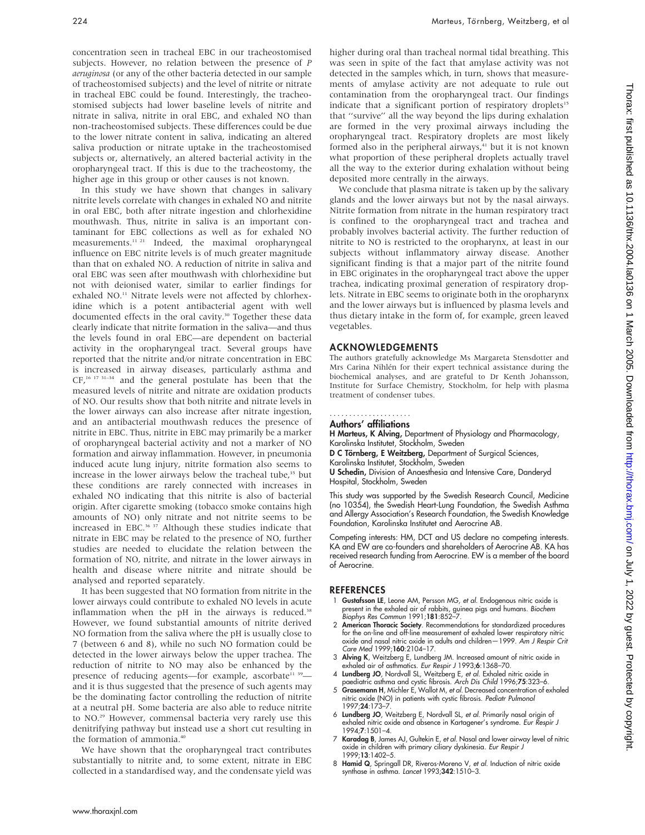concentration seen in tracheal EBC in our tracheostomised subjects. However, no relation between the presence of P aeruginosa (or any of the other bacteria detected in our sample of tracheostomised subjects) and the level of nitrite or nitrate in tracheal EBC could be found. Interestingly, the tracheostomised subjects had lower baseline levels of nitrite and nitrate in saliva, nitrite in oral EBC, and exhaled NO than non-tracheostomised subjects. These differences could be due to the lower nitrate content in saliva, indicating an altered saliva production or nitrate uptake in the tracheostomised subjects or, alternatively, an altered bacterial activity in the oropharyngeal tract. If this is due to the tracheostomy, the higher age in this group or other causes is not known.

In this study we have shown that changes in salivary nitrite levels correlate with changes in exhaled NO and nitrite in oral EBC, both after nitrate ingestion and chlorhexidine mouthwash. Thus, nitrite in saliva is an important contaminant for EBC collections as well as for exhaled NO measurements.11 21 Indeed, the maximal oropharyngeal influence on EBC nitrite levels is of much greater magnitude than that on exhaled NO. A reduction of nitrite in saliva and oral EBC was seen after mouthwash with chlorhexidine but not with deionised water, similar to earlier findings for exhaled NO.<sup>11</sup> Nitrate levels were not affected by chlorhexidine which is a potent antibacterial agent with well documented effects in the oral cavity.<sup>30</sup> Together these data clearly indicate that nitrite formation in the saliva—and thus the levels found in oral EBC—are dependent on bacterial activity in the oropharyngeal tract. Several groups have reported that the nitrite and/or nitrate concentration in EBC is increased in airway diseases, particularly asthma and CF,16 17 31–34 and the general postulate has been that the measured levels of nitrite and nitrate are oxidation products of NO. Our results show that both nitrite and nitrate levels in the lower airways can also increase after nitrate ingestion, and an antibacterial mouthwash reduces the presence of nitrite in EBC. Thus, nitrite in EBC may primarily be a marker of oropharyngeal bacterial activity and not a marker of NO formation and airway inflammation. However, in pneumonia induced acute lung injury, nitrite formation also seems to increase in the lower airways below the tracheal tube,<sup>35</sup> but these conditions are rarely connected with increases in exhaled NO indicating that this nitrite is also of bacterial origin. After cigarette smoking (tobacco smoke contains high amounts of NO) only nitrate and not nitrite seems to be increased in EBC.36 37 Although these studies indicate that nitrate in EBC may be related to the presence of NO, further studies are needed to elucidate the relation between the formation of NO, nitrite, and nitrate in the lower airways in health and disease where nitrite and nitrate should be analysed and reported separately.

It has been suggested that NO formation from nitrite in the lower airways could contribute to exhaled NO levels in acute inflammation when the  $pH$  in the airways is reduced.<sup>38</sup> However, we found substantial amounts of nitrite derived NO formation from the saliva where the pH is usually close to 7 (between 6 and 8), while no such NO formation could be detected in the lower airways below the upper trachea. The reduction of nitrite to NO may also be enhanced by the presence of reducing agents—for example, ascorbate<sup>11 39</sup> and it is thus suggested that the presence of such agents may be the dominating factor controlling the reduction of nitrite at a neutral pH. Some bacteria are also able to reduce nitrite to NO.29 However, commensal bacteria very rarely use this denitrifying pathway but instead use a short cut resulting in the formation of ammonia.<sup>40</sup>

We have shown that the oropharyngeal tract contributes substantially to nitrite and, to some extent, nitrate in EBC collected in a standardised way, and the condensate yield was higher during oral than tracheal normal tidal breathing. This was seen in spite of the fact that amylase activity was not detected in the samples which, in turn, shows that measurements of amylase activity are not adequate to rule out contamination from the oropharyngeal tract. Our findings indicate that a significant portion of respiratory droplets $15$ that ''survive'' all the way beyond the lips during exhalation are formed in the very proximal airways including the oropharyngeal tract. Respiratory droplets are most likely formed also in the peripheral airways, $41$  but it is not known what proportion of these peripheral droplets actually travel all the way to the exterior during exhalation without being deposited more centrally in the airways.

We conclude that plasma nitrate is taken up by the salivary glands and the lower airways but not by the nasal airways. Nitrite formation from nitrate in the human respiratory tract is confined to the oropharyngeal tract and trachea and probably involves bacterial activity. The further reduction of nitrite to NO is restricted to the oropharynx, at least in our subjects without inflammatory airway disease. Another significant finding is that a major part of the nitrite found in EBC originates in the oropharyngeal tract above the upper trachea, indicating proximal generation of respiratory droplets. Nitrate in EBC seems to originate both in the oropharynx and the lower airways but is influenced by plasma levels and thus dietary intake in the form of, for example, green leaved vegetables.

#### ACKNOWLEDGEMENTS

The authors gratefully acknowledge Ms Margareta Stensdotter and Mrs Carina Nihlén for their expert technical assistance during the biochemical analyses, and are grateful to Dr Kenth Johansson, Institute for Surface Chemistry, Stockholm, for help with plasma treatment of condenser tubes.

#### Authors' affiliations .....................

H Marteus, K Alving, Department of Physiology and Pharmacology, Karolinska Institutet, Stockholm, Sweden

D C Törnberg, E Weitzberg, Department of Surgical Sciences, Karolinska Institutet, Stockholm, Sweden

U Schedin, Division of Anaesthesia and Intensive Care, Danderyd Hospital, Stockholm, Sweden

This study was supported by the Swedish Research Council, Medicine (no 10354), the Swedish Heart-Lung Foundation, the Swedish Asthma and Allergy Association's Research Foundation, the Swedish Knowledge Foundation, Karolinska Institutet and Aerocrine AB.

Competing interests: HM, DCT and US declare no competing interests. KA and EW are co-founders and shareholders of Aerocrine AB. KA has received research funding from Aerocrine. EW is a member of the board of Aerocrine.

#### **REFERENCES**

- Gustafsson LE, Leone AM, Persson MG, et al. Endogenous nitric oxide is present in the exhaled air of rabbits, guinea pigs and humans. *Biochem*<br>*Biophys Res Commun* 1991;**181**:852–7.
- 2 American Thoracic Society. Recommendations for standardized procedures for the on-line and off-line measurement of exhaled lower respiratory nitric oxide and nasal nitric oxide in adults and children—1999. Am J Respir Crit Care Med 1999;160:2104–17.
- 3 Alving K, Weitzberg E, Lundberg JM. Increased amount of nitric oxide in exhaled air of asthmatics. Eur Respir J 1993;6:1368–70.
- 4 **Lundberg JO**, Nordvall SL, Weitzberg E, *et al.* Exhaled nitric oxide in<br>1996;75:323–6. paediatric asthma and cystic fibrosis. Arch Dis Child 1996;75:323–6.<br>5 Grasemann H, Michler E, Wallot M, *et al.* Decreased concent
- nitric oxide (NO) in patients with cystic fibrosis. Pediatr Pulmonol 1997;24:173–7.
- 6 Lundberg JO, Weitzberg E, Nordvall SL, et al. Primarily nasal origin of exhaled nitric oxide and absence in Kartagener's syndrome. Eur Respir J 1994;7:1501–4.
- 7 Karadag B, James AJ, Gultekin E, et al. Nasal and lower airway level of nitric oxide in children with primary ciliary dyskinesia. Eur Respir J 1999;13:1402–5.
- 8 Hamid Q, Springall DR, Riveros-Moreno V, et al. Induction of nitric oxide synthase in asthma. Lancet 1993;342:1510-3.